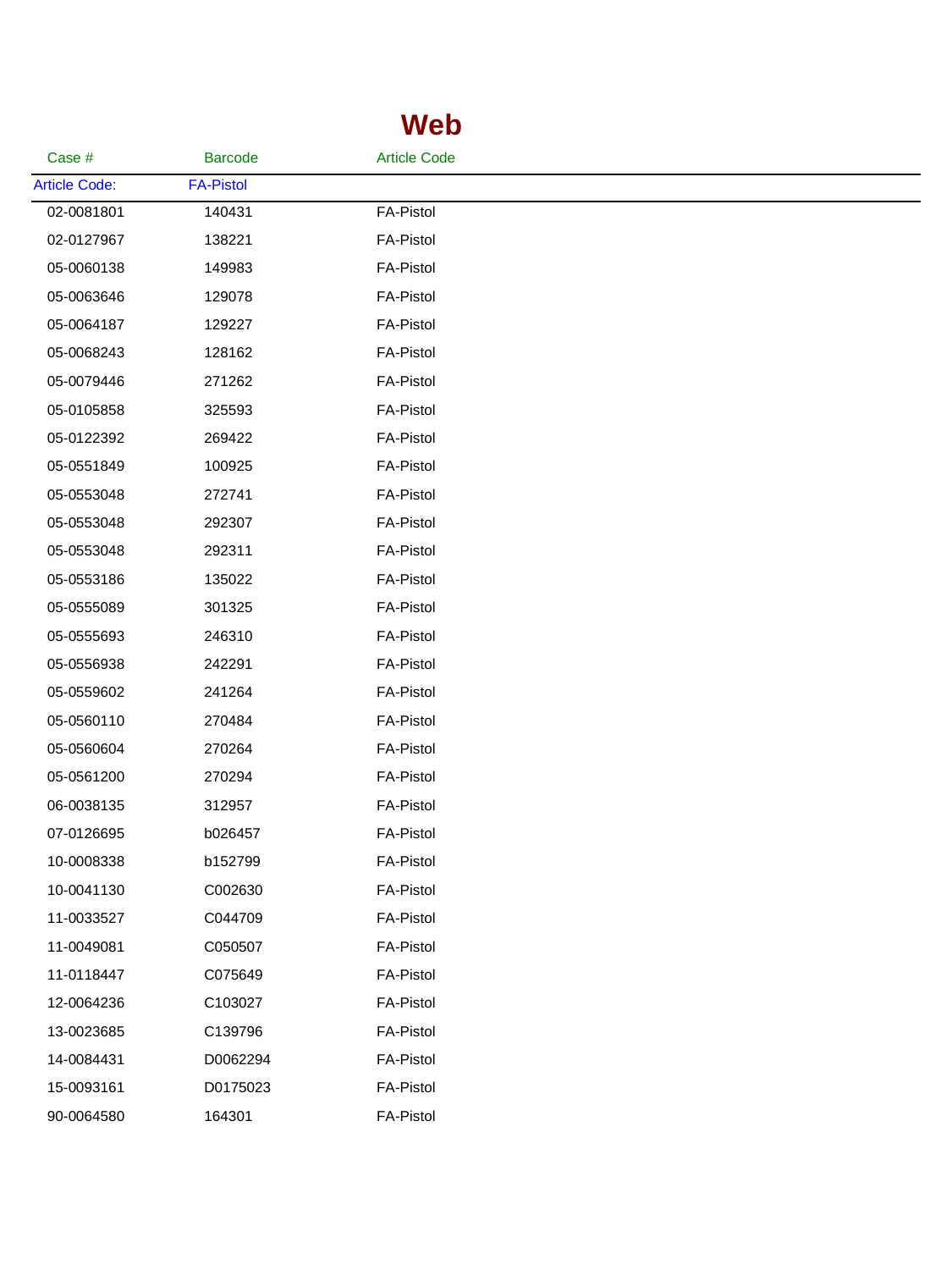## **Web**

| Case #               | <b>Barcode</b>   | <b>Article Code</b> |  |
|----------------------|------------------|---------------------|--|
| <b>Article Code:</b> | <b>FA-Pistol</b> |                     |  |
| 02-0081801           | 140431           | <b>FA-Pistol</b>    |  |
| 02-0127967           | 138221           | <b>FA-Pistol</b>    |  |
| 05-0060138           | 149983           | <b>FA-Pistol</b>    |  |
| 05-0063646           | 129078           | <b>FA-Pistol</b>    |  |
| 05-0064187           | 129227           | <b>FA-Pistol</b>    |  |
| 05-0068243           | 128162           | <b>FA-Pistol</b>    |  |
| 05-0079446           | 271262           | <b>FA-Pistol</b>    |  |
| 05-0105858           | 325593           | <b>FA-Pistol</b>    |  |
| 05-0122392           | 269422           | <b>FA-Pistol</b>    |  |
| 05-0551849           | 100925           | <b>FA-Pistol</b>    |  |
| 05-0553048           | 272741           | <b>FA-Pistol</b>    |  |
| 05-0553048           | 292307           | <b>FA-Pistol</b>    |  |
| 05-0553048           | 292311           | <b>FA-Pistol</b>    |  |
| 05-0553186           | 135022           | <b>FA-Pistol</b>    |  |
| 05-0555089           | 301325           | <b>FA-Pistol</b>    |  |
| 05-0555693           | 246310           | <b>FA-Pistol</b>    |  |
| 05-0556938           | 242291           | <b>FA-Pistol</b>    |  |
| 05-0559602           | 241264           | <b>FA-Pistol</b>    |  |
| 05-0560110           | 270484           | <b>FA-Pistol</b>    |  |
| 05-0560604           | 270264           | <b>FA-Pistol</b>    |  |
| 05-0561200           | 270294           | <b>FA-Pistol</b>    |  |
| 06-0038135           | 312957           | <b>FA-Pistol</b>    |  |
| 07-0126695           | b026457          | <b>FA-Pistol</b>    |  |
| 10-0008338           | b152799          | <b>FA-Pistol</b>    |  |
| 10-0041130           | C002630          | <b>FA-Pistol</b>    |  |
| 11-0033527           | C044709          | <b>FA-Pistol</b>    |  |
| 11-0049081           | C050507          | FA-Pistol           |  |
| 11-0118447           | C075649          | <b>FA-Pistol</b>    |  |
| 12-0064236           | C103027          | FA-Pistol           |  |
| 13-0023685           | C139796          | <b>FA-Pistol</b>    |  |
| 14-0084431           | D0062294         | <b>FA-Pistol</b>    |  |
| 15-0093161           | D0175023         | FA-Pistol           |  |
| 90-0064580           | 164301           | <b>FA-Pistol</b>    |  |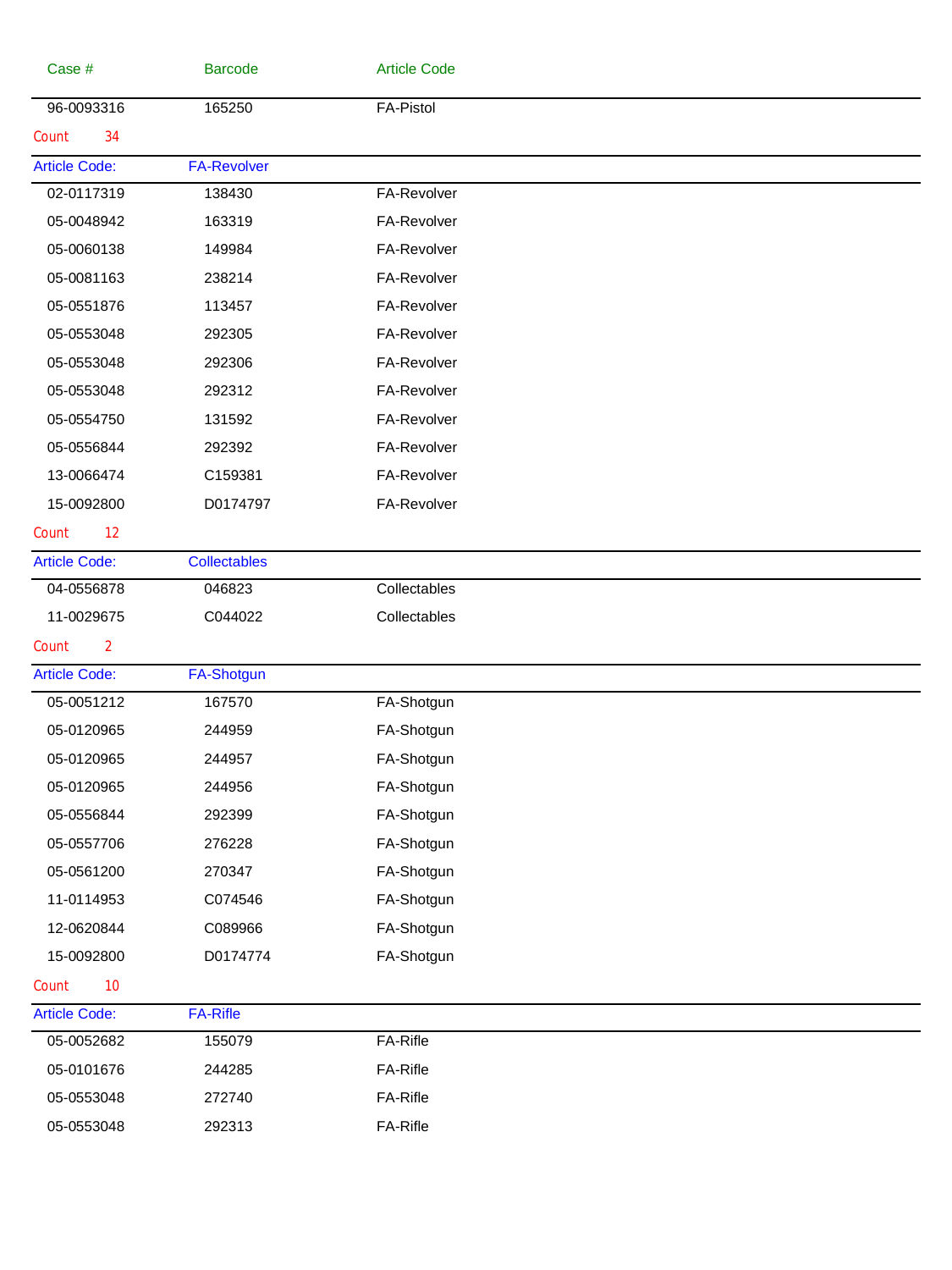| Case #                  | <b>Barcode</b>      | <b>Article Code</b> |  |
|-------------------------|---------------------|---------------------|--|
| 96-0093316              | 165250              | <b>FA-Pistol</b>    |  |
| 34<br>Count             |                     |                     |  |
| <b>Article Code:</b>    | <b>FA-Revolver</b>  |                     |  |
| 02-0117319              | 138430              | FA-Revolver         |  |
| 05-0048942              | 163319              | FA-Revolver         |  |
| 05-0060138              | 149984              | FA-Revolver         |  |
| 05-0081163              | 238214              | FA-Revolver         |  |
| 05-0551876              | 113457              | FA-Revolver         |  |
| 05-0553048              | 292305              | FA-Revolver         |  |
| 05-0553048              | 292306              | FA-Revolver         |  |
| 05-0553048              | 292312              | FA-Revolver         |  |
| 05-0554750              | 131592              | FA-Revolver         |  |
| 05-0556844              | 292392              | FA-Revolver         |  |
| 13-0066474              | C159381             | FA-Revolver         |  |
| 15-0092800              | D0174797            | FA-Revolver         |  |
| 12<br>Count             |                     |                     |  |
| <b>Article Code:</b>    | <b>Collectables</b> |                     |  |
| 04-0556878              | 046823              | Collectables        |  |
| 11-0029675              | C044022             | Collectables        |  |
| $\overline{2}$<br>Count |                     |                     |  |
| <b>Article Code:</b>    | <b>FA-Shotgun</b>   |                     |  |
| 05-0051212              | 167570              | FA-Shotgun          |  |
| 05-0120965              | 244959              | FA-Shotgun          |  |
| 05-0120965              | 244957              | FA-Shotgun          |  |
| 05-0120965              | 244956              | FA-Shotgun          |  |
| 05-0556844              | 292399              | FA-Shotgun          |  |
| 05-0557706              | 276228              | FA-Shotgun          |  |
| 05-0561200              | 270347              | FA-Shotgun          |  |
| 11-0114953              | C074546             | FA-Shotgun          |  |
| 12-0620844              | C089966             | FA-Shotgun          |  |
| 15-0092800              | D0174774            | FA-Shotgun          |  |
| 10<br>Count             |                     |                     |  |
| <b>Article Code:</b>    | <b>FA-Rifle</b>     |                     |  |
| 05-0052682              | 155079              | FA-Rifle            |  |
| 05-0101676              | 244285              | FA-Rifle            |  |
| 05-0553048              | 272740              | FA-Rifle            |  |
| 05-0553048              | 292313              | FA-Rifle            |  |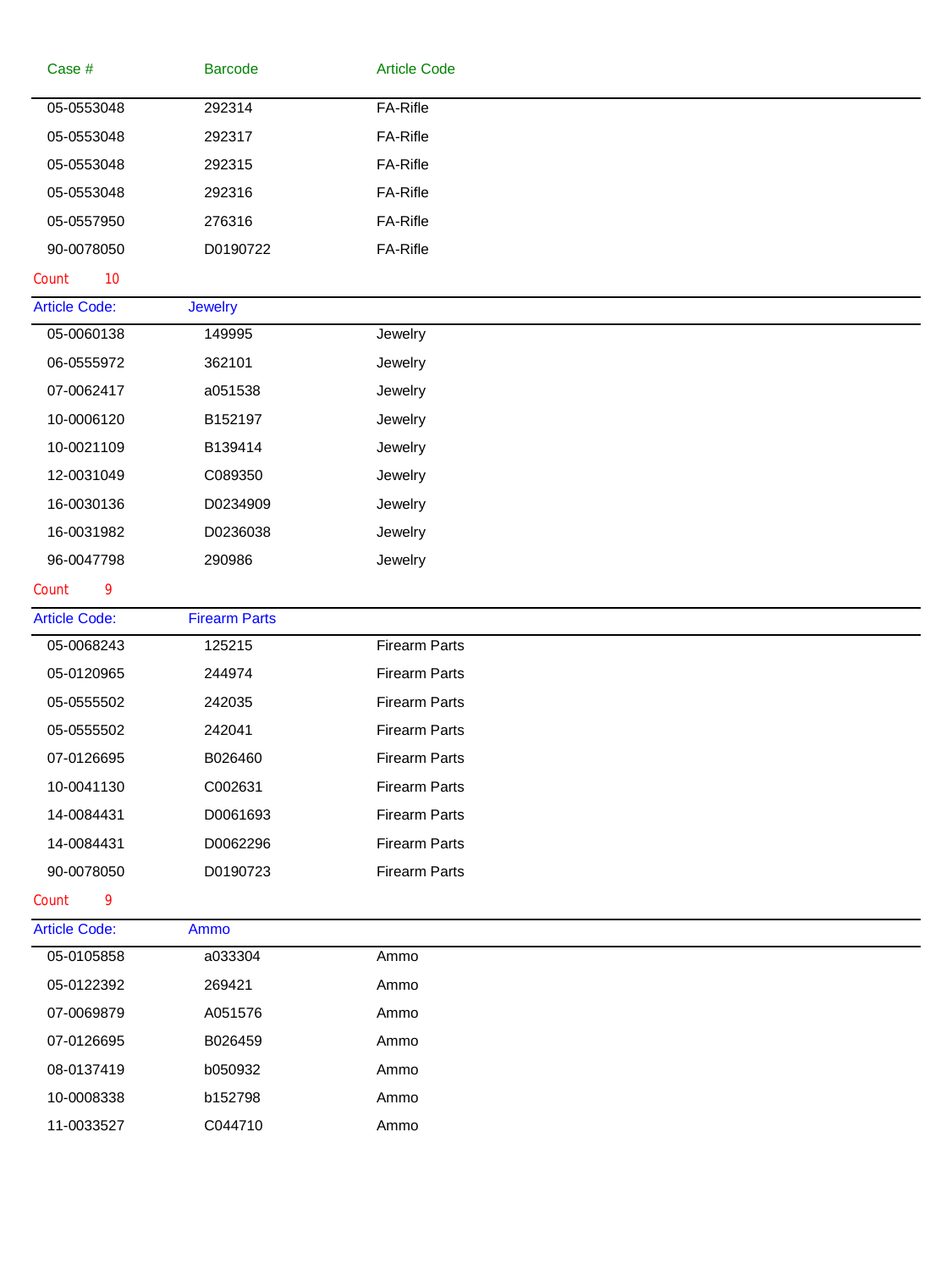| Case #               | <b>Barcode</b>       | <b>Article Code</b>  |  |
|----------------------|----------------------|----------------------|--|
| 05-0553048           | 292314               | FA-Rifle             |  |
| 05-0553048           | 292317               | FA-Rifle             |  |
| 05-0553048           | 292315               | FA-Rifle             |  |
| 05-0553048           | 292316               | FA-Rifle             |  |
| 05-0557950           | 276316               | FA-Rifle             |  |
| 90-0078050           | D0190722             | FA-Rifle             |  |
| 10<br>Count          |                      |                      |  |
| <b>Article Code:</b> | <b>Jewelry</b>       |                      |  |
| 05-0060138           | 149995               | Jewelry              |  |
| 06-0555972           | 362101               | Jewelry              |  |
| 07-0062417           | a051538              | Jewelry              |  |
| 10-0006120           | B152197              | Jewelry              |  |
| 10-0021109           | B139414              | Jewelry              |  |
| 12-0031049           | C089350              | Jewelry              |  |
| 16-0030136           | D0234909             | Jewelry              |  |
| 16-0031982           | D0236038             | Jewelry              |  |
| 96-0047798           | 290986               | Jewelry              |  |
| Count<br>9           |                      |                      |  |
| <b>Article Code:</b> | <b>Firearm Parts</b> |                      |  |
|                      |                      |                      |  |
| 05-0068243           | 125215               | <b>Firearm Parts</b> |  |
| 05-0120965           | 244974               | <b>Firearm Parts</b> |  |
| 05-0555502           | 242035               | <b>Firearm Parts</b> |  |
| 05-0555502           | 242041               | Firearm Parts        |  |
| 07-0126695           | B026460              | <b>Firearm Parts</b> |  |
| 10-0041130           | C002631              | <b>Firearm Parts</b> |  |
| 14-0084431           | D0061693             | <b>Firearm Parts</b> |  |
| 14-0084431           | D0062296             | <b>Firearm Parts</b> |  |
| 90-0078050           | D0190723             | <b>Firearm Parts</b> |  |
| 9<br>Count           |                      |                      |  |
| <b>Article Code:</b> | Ammo                 |                      |  |
| 05-0105858           | a033304              | Ammo                 |  |
| 05-0122392           | 269421               | Ammo                 |  |
| 07-0069879           | A051576              | Ammo                 |  |
| 07-0126695           | B026459              | Ammo                 |  |
| 08-0137419           | b050932              | Ammo                 |  |
| 10-0008338           | b152798              | Ammo                 |  |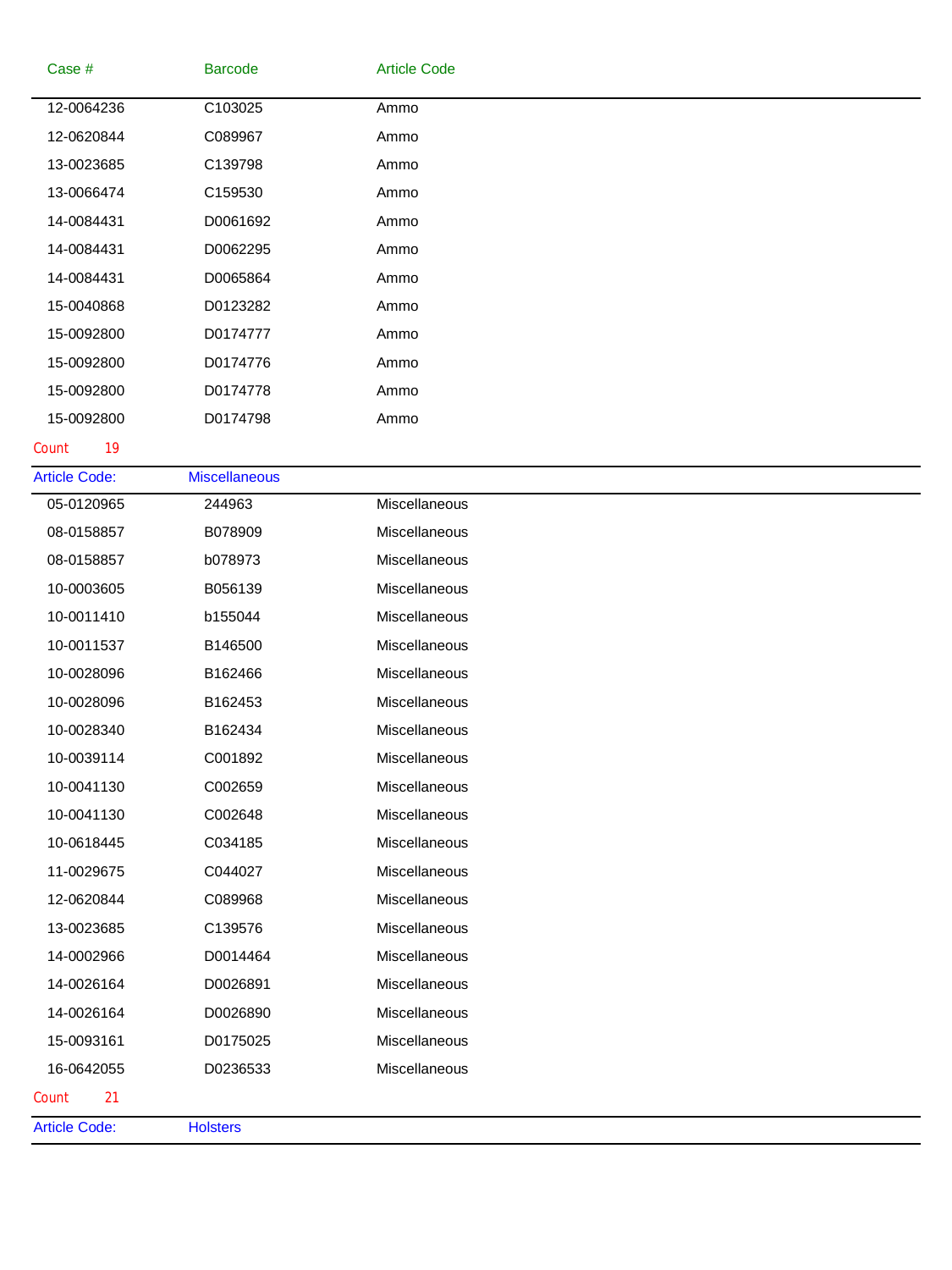| C103025<br>C089967<br>C139798<br>C159530<br>D0061692<br>D0062295<br>D0065864<br>D0123282<br>D0174777<br>D0174776<br>D0174778 | Ammo<br>Ammo<br>Ammo<br>Ammo<br>Ammo<br>Ammo<br>Ammo<br>Ammo<br>Ammo |
|------------------------------------------------------------------------------------------------------------------------------|----------------------------------------------------------------------|
|                                                                                                                              |                                                                      |
|                                                                                                                              |                                                                      |
|                                                                                                                              |                                                                      |
|                                                                                                                              |                                                                      |
|                                                                                                                              |                                                                      |
|                                                                                                                              |                                                                      |
|                                                                                                                              |                                                                      |
|                                                                                                                              |                                                                      |
|                                                                                                                              |                                                                      |
|                                                                                                                              | Ammo                                                                 |
|                                                                                                                              | Ammo                                                                 |
| D0174798                                                                                                                     | Ammo                                                                 |
|                                                                                                                              |                                                                      |
| <b>Miscellaneous</b>                                                                                                         |                                                                      |
| 244963                                                                                                                       | Miscellaneous                                                        |
| B078909                                                                                                                      | Miscellaneous                                                        |
| b078973                                                                                                                      | Miscellaneous                                                        |
| B056139                                                                                                                      | Miscellaneous                                                        |
| b155044                                                                                                                      | Miscellaneous                                                        |
| B146500                                                                                                                      | Miscellaneous                                                        |
| B162466                                                                                                                      | Miscellaneous                                                        |
| B162453                                                                                                                      | Miscellaneous                                                        |
| B162434                                                                                                                      | Miscellaneous                                                        |
| C001892                                                                                                                      | Miscellaneous                                                        |
| C002659                                                                                                                      | Miscellaneous                                                        |
| C002648                                                                                                                      | Miscellaneous                                                        |
| C034185                                                                                                                      | Miscellaneous                                                        |
| C044027                                                                                                                      | Miscellaneous                                                        |
| C089968                                                                                                                      | Miscellaneous                                                        |
| C139576                                                                                                                      | Miscellaneous                                                        |
| D0014464                                                                                                                     | Miscellaneous                                                        |
| D0026891                                                                                                                     | Miscellaneous                                                        |
|                                                                                                                              | Miscellaneous                                                        |
|                                                                                                                              | Miscellaneous                                                        |
|                                                                                                                              | Miscellaneous                                                        |
|                                                                                                                              |                                                                      |
|                                                                                                                              | D0026890<br>D0175025<br>D0236533                                     |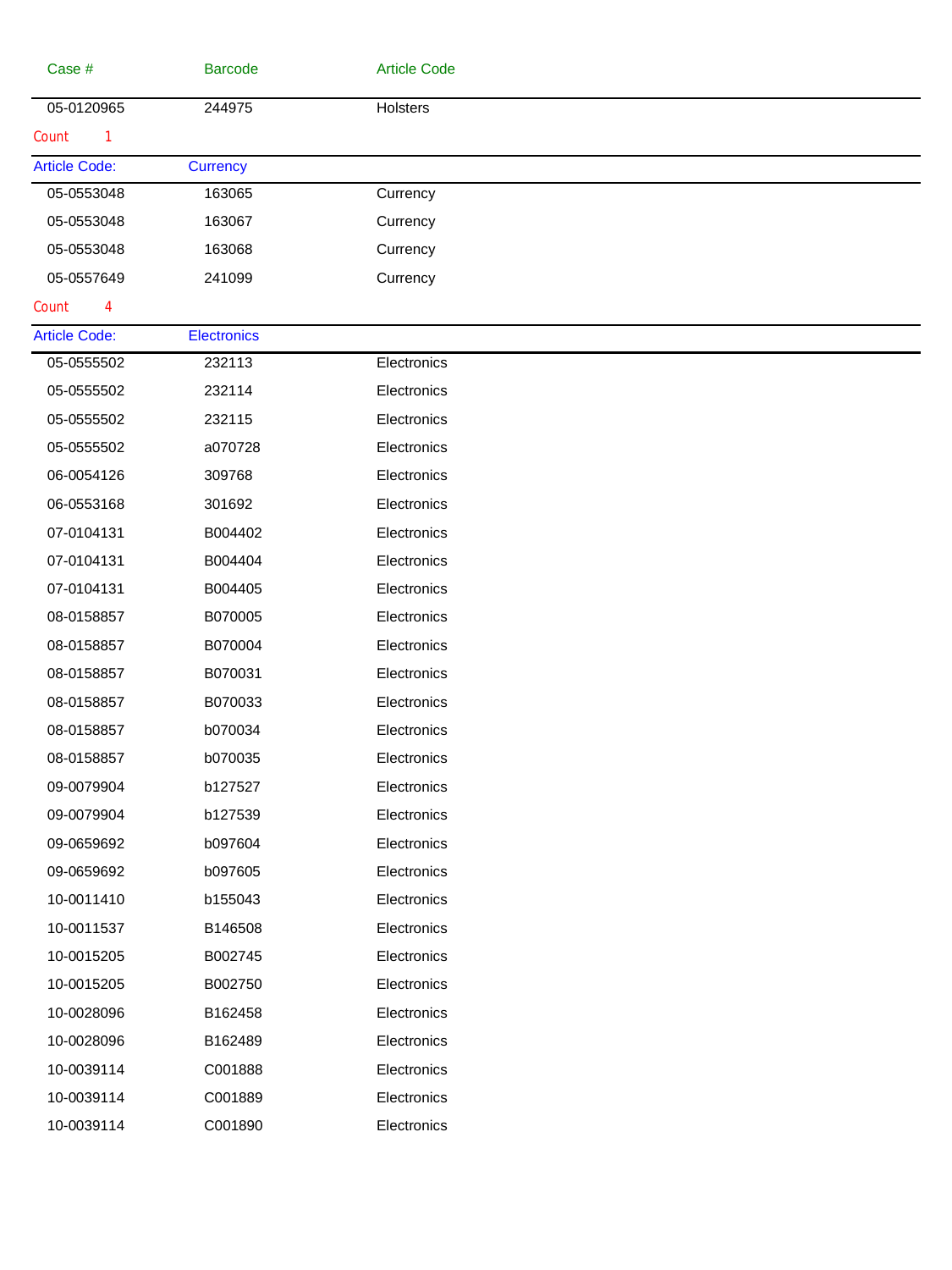| Case #               | <b>Barcode</b>     | <b>Article Code</b> |  |
|----------------------|--------------------|---------------------|--|
| 05-0120965           | 244975             | Holsters            |  |
| Count<br>1           |                    |                     |  |
| <b>Article Code:</b> | <b>Currency</b>    |                     |  |
| 05-0553048           | 163065             | Currency            |  |
| 05-0553048           | 163067             | Currency            |  |
| 05-0553048           | 163068             | Currency            |  |
| 05-0557649           | 241099             | Currency            |  |
| Count<br>4           |                    |                     |  |
| <b>Article Code:</b> | <b>Electronics</b> |                     |  |
| 05-0555502           | 232113             | Electronics         |  |
| 05-0555502           | 232114             | Electronics         |  |
| 05-0555502           | 232115             | Electronics         |  |
| 05-0555502           | a070728            | Electronics         |  |
| 06-0054126           | 309768             | Electronics         |  |
| 06-0553168           | 301692             | Electronics         |  |
| 07-0104131           | B004402            | Electronics         |  |
| 07-0104131           | B004404            | Electronics         |  |
| 07-0104131           | B004405            | Electronics         |  |
| 08-0158857           | B070005            | Electronics         |  |
| 08-0158857           | B070004            | Electronics         |  |
| 08-0158857           | B070031            | Electronics         |  |
| 08-0158857           | B070033            | Electronics         |  |
| 08-0158857           | b070034            | Electronics         |  |
| 08-0158857           | b070035            | Electronics         |  |
| 09-0079904           | b127527            | Electronics         |  |
| 09-0079904           | b127539            | Electronics         |  |
| 09-0659692           | b097604            | Electronics         |  |
| 09-0659692           | b097605            | Electronics         |  |
| 10-0011410           | b155043            | Electronics         |  |
| 10-0011537           | B146508            | Electronics         |  |
| 10-0015205           | B002745            | Electronics         |  |
| 10-0015205           | B002750            | Electronics         |  |
| 10-0028096           | B162458            | Electronics         |  |
| 10-0028096           | B162489            | Electronics         |  |
| 10-0039114           | C001888            | Electronics         |  |
| 10-0039114           | C001889            | Electronics         |  |
| 10-0039114           | C001890            | Electronics         |  |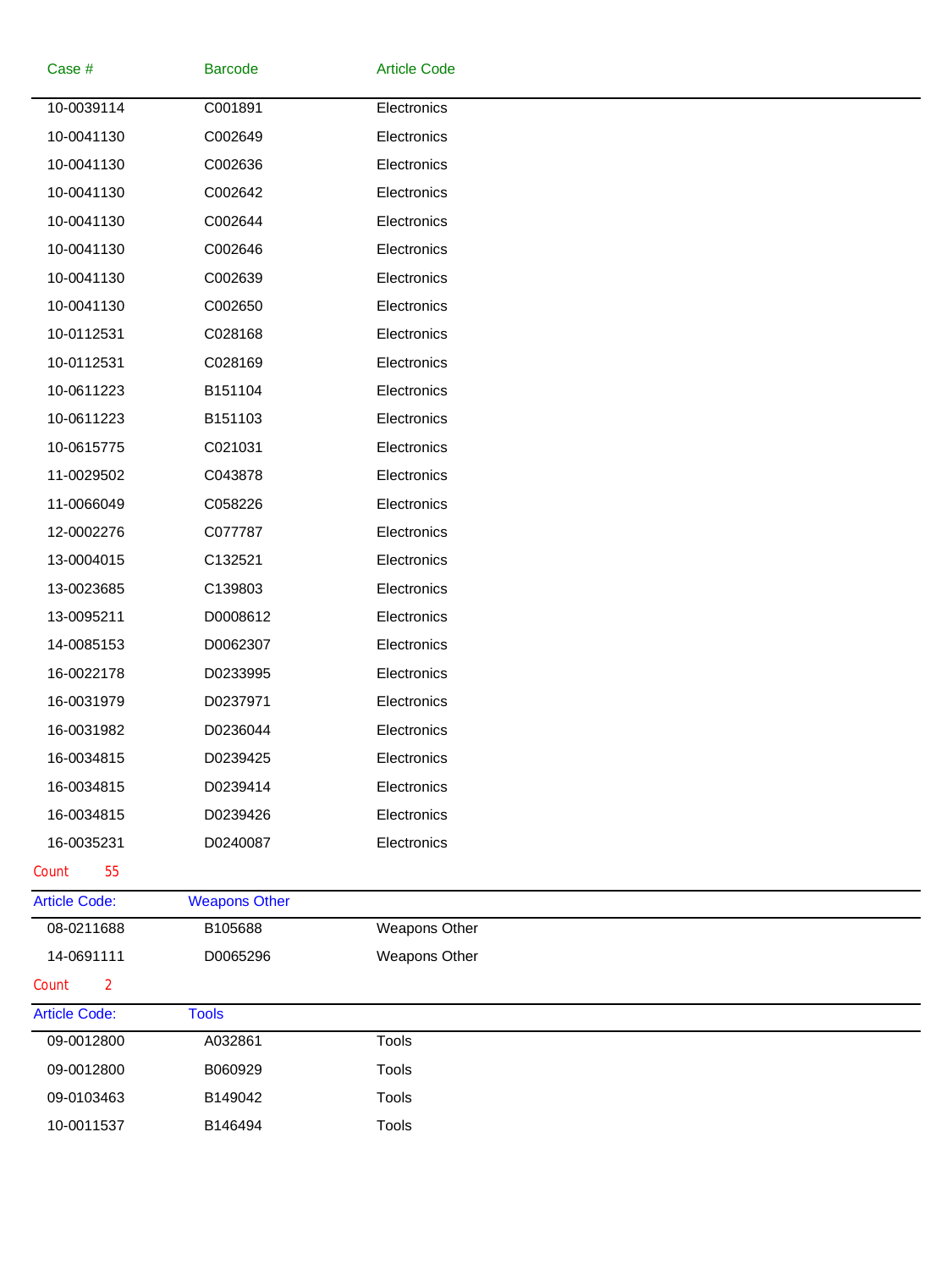| Case #                  | <b>Barcode</b>       | <b>Article Code</b> |  |
|-------------------------|----------------------|---------------------|--|
| 10-0039114              | C001891              | Electronics         |  |
| 10-0041130              | C002649              | Electronics         |  |
| 10-0041130              | C002636              | Electronics         |  |
| 10-0041130              | C002642              | Electronics         |  |
| 10-0041130              | C002644              | Electronics         |  |
| 10-0041130              | C002646              | Electronics         |  |
| 10-0041130              | C002639              | Electronics         |  |
| 10-0041130              | C002650              | Electronics         |  |
| 10-0112531              | C028168              | Electronics         |  |
| 10-0112531              | C028169              | Electronics         |  |
| 10-0611223              | B151104              | Electronics         |  |
| 10-0611223              | B151103              | Electronics         |  |
| 10-0615775              | C021031              | Electronics         |  |
| 11-0029502              | C043878              | Electronics         |  |
| 11-0066049              | C058226              | Electronics         |  |
| 12-0002276              | C077787              | Electronics         |  |
| 13-0004015              | C132521              | Electronics         |  |
| 13-0023685              | C139803              | Electronics         |  |
| 13-0095211              | D0008612             | Electronics         |  |
| 14-0085153              | D0062307             | Electronics         |  |
| 16-0022178              | D0233995             | Electronics         |  |
| 16-0031979              | D0237971             | Electronics         |  |
| 16-0031982              | D0236044             | Electronics         |  |
| 16-0034815              | D0239425             | Electronics         |  |
| 16-0034815              | D0239414             | Electronics         |  |
| 16-0034815              | D0239426             | Electronics         |  |
| 16-0035231              | D0240087             | Electronics         |  |
| 55<br>Count             |                      |                     |  |
| <b>Article Code:</b>    | <b>Weapons Other</b> |                     |  |
| 08-0211688              | B105688              | Weapons Other       |  |
| 14-0691111              | D0065296             | Weapons Other       |  |
| $\overline{2}$<br>Count |                      |                     |  |
| <b>Article Code:</b>    | <b>Tools</b>         |                     |  |
| 09-0012800              | A032861              | <b>Tools</b>        |  |
| 09-0012800              | B060929              | Tools               |  |
| 09-0103463              | B149042              | Tools               |  |
| 10-0011537              | B146494              | Tools               |  |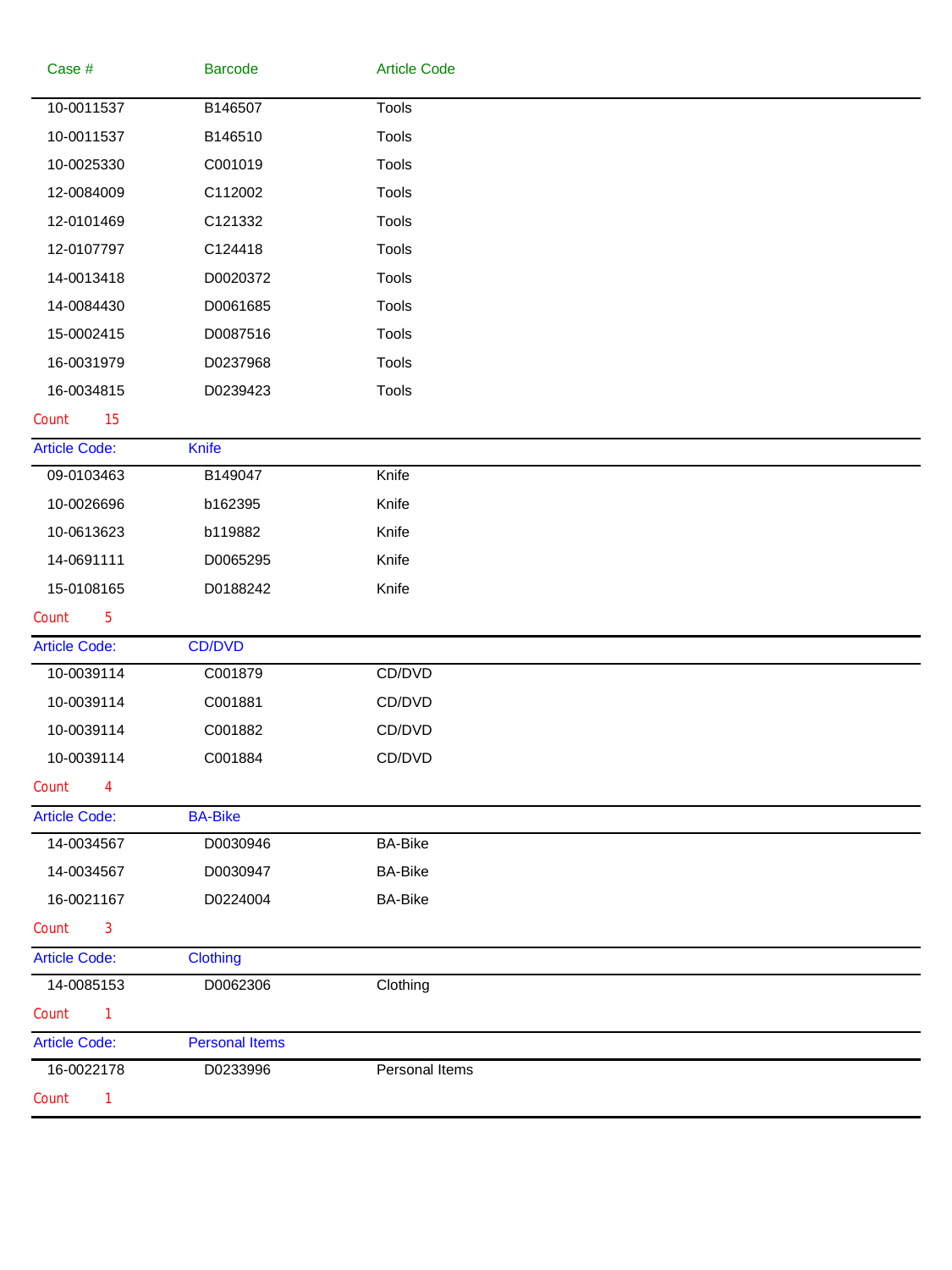| Case #                  | <b>Barcode</b>        | <b>Article Code</b> |
|-------------------------|-----------------------|---------------------|
| 10-0011537              | B146507               | <b>Tools</b>        |
| 10-0011537              | B146510               | Tools               |
| 10-0025330              | C001019               | Tools               |
| 12-0084009              | C112002               | Tools               |
| 12-0101469              | C121332               | Tools               |
| 12-0107797              | C124418               | Tools               |
| 14-0013418              | D0020372              | Tools               |
| 14-0084430              | D0061685              | Tools               |
| 15-0002415              | D0087516              | Tools               |
| 16-0031979              | D0237968              | Tools               |
| 16-0034815              | D0239423              | Tools               |
| 15<br>Count             |                       |                     |
| <b>Article Code:</b>    | Knife                 |                     |
| 09-0103463              | B149047               | Knife               |
| 10-0026696              | b162395               | Knife               |
| 10-0613623              | b119882               | Knife               |
| 14-0691111              | D0065295              | Knife               |
| 15-0108165              | D0188242              | Knife               |
| $\overline{5}$<br>Count |                       |                     |
| <b>Article Code:</b>    | CD/DVD                |                     |
| 10-0039114              | C001879               | CD/DVD              |
| 10-0039114              | C001881               | CD/DVD              |
| 10-0039114              | C001882               | CD/DVD              |
| 10-0039114              | C001884               | CD/DVD              |
| Count<br>4              |                       |                     |
| <b>Article Code:</b>    | <b>BA-Bike</b>        |                     |
| 14-0034567              | D0030946              | <b>BA-Bike</b>      |
| 14-0034567              | D0030947              | <b>BA-Bike</b>      |
| 16-0021167              | D0224004              | <b>BA-Bike</b>      |
| Count<br>$\mathbf{3}$   |                       |                     |
| <b>Article Code:</b>    | <b>Clothing</b>       |                     |
| 14-0085153              | D0062306              | Clothing            |
| Count<br>1              |                       |                     |
| <b>Article Code:</b>    | <b>Personal Items</b> |                     |
| 16-0022178              | D0233996              | Personal Items      |
| Count<br>1              |                       |                     |
|                         |                       |                     |